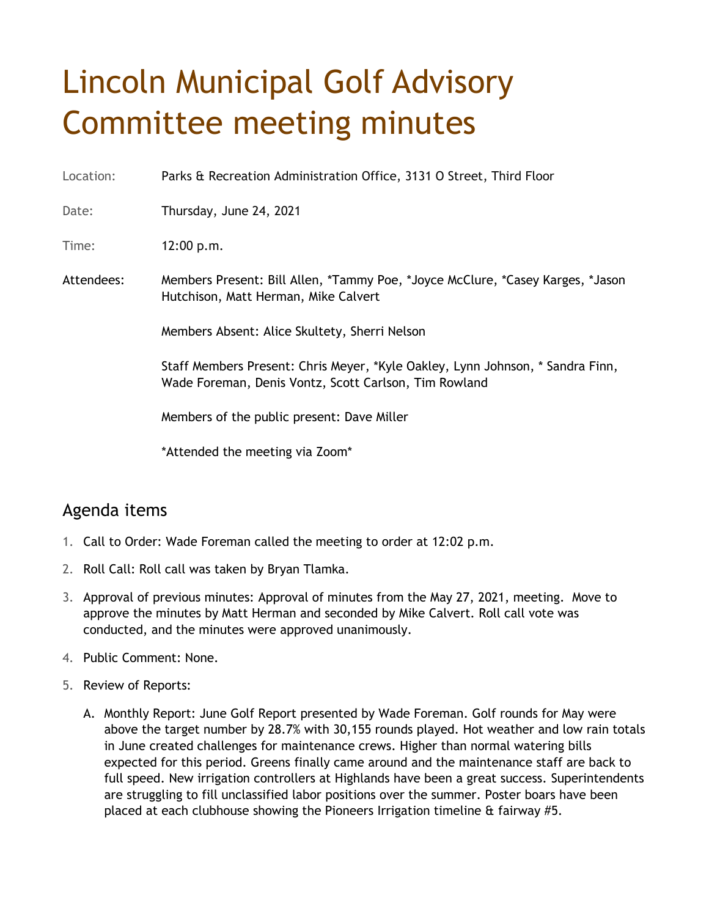## Lincoln Municipal Golf Advisory Committee meeting minutes

Location: Parks & Recreation Administration Office, 3131 O Street, Third Floor

Date: Thursday, June 24, 2021

Time: 12:00 p.m.

Attendees: Members Present: Bill Allen, \*Tammy Poe, \*Joyce McClure, \*Casey Karges, \*Jason Hutchison, Matt Herman, Mike Calvert

Members Absent: Alice Skultety, Sherri Nelson

Staff Members Present: Chris Meyer, \*Kyle Oakley, Lynn Johnson, \* Sandra Finn, Wade Foreman, Denis Vontz, Scott Carlson, Tim Rowland

Members of the public present: Dave Miller

\*Attended the meeting via Zoom\*

## Agenda items

- 1. Call to Order: Wade Foreman called the meeting to order at 12:02 p.m.
- 2. Roll Call: Roll call was taken by Bryan Tlamka.
- 3. Approval of previous minutes: Approval of minutes from the May 27, 2021, meeting. Move to approve the minutes by Matt Herman and seconded by Mike Calvert. Roll call vote was conducted, and the minutes were approved unanimously.
- 4. Public Comment: None.
- 5. Review of Reports:
	- A. Monthly Report: June Golf Report presented by Wade Foreman. Golf rounds for May were above the target number by 28.7% with 30,155 rounds played. Hot weather and low rain totals in June created challenges for maintenance crews. Higher than normal watering bills expected for this period. Greens finally came around and the maintenance staff are back to full speed. New irrigation controllers at Highlands have been a great success. Superintendents are struggling to fill unclassified labor positions over the summer. Poster boars have been placed at each clubhouse showing the Pioneers Irrigation timeline & fairway #5.